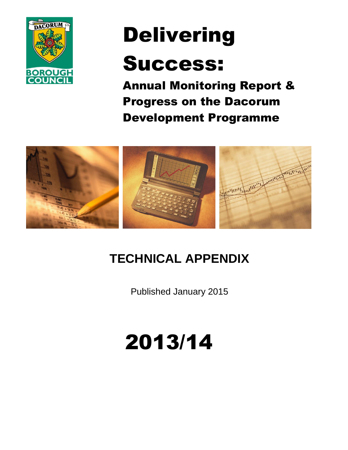

# Delivering

## Success:

Annual Monitoring Report & Progress on the Dacorum Development Programme



## **TECHNICAL APPENDIX**

Published January 2015

## 2013/14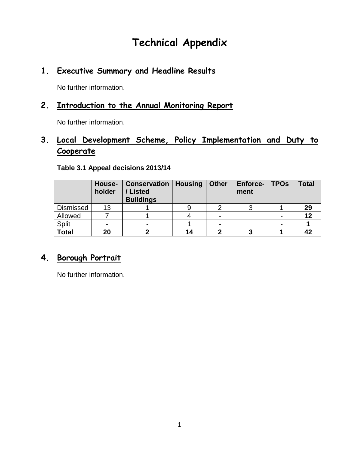## **Technical Appendix**

## **1. Executive Summary and Headline Results**

No further information.

## **2. Introduction to the Annual Monitoring Report**

No further information.

## **3. Local Development Scheme, Policy Implementation and Duty to Cooperate**

|                  | House-<br>holder | <b>Conservation   Housing</b><br>/Listed<br><b>Buildings</b> |    | Other                    | <b>Enforce-</b><br>ment | <b>TPOs</b> | <b>Total</b> |
|------------------|------------------|--------------------------------------------------------------|----|--------------------------|-------------------------|-------------|--------------|
| <b>Dismissed</b> | 13               |                                                              |    |                          |                         |             | 29           |
| Allowed          |                  |                                                              |    | $\overline{\phantom{0}}$ |                         |             |              |
| Split            |                  |                                                              |    | $\overline{\phantom{0}}$ |                         |             |              |
| <b>Total</b>     | 20               |                                                              | 14 |                          |                         |             |              |

#### **Table 3.1 Appeal decisions 2013/14**

## **4. Borough Portrait**

No further information.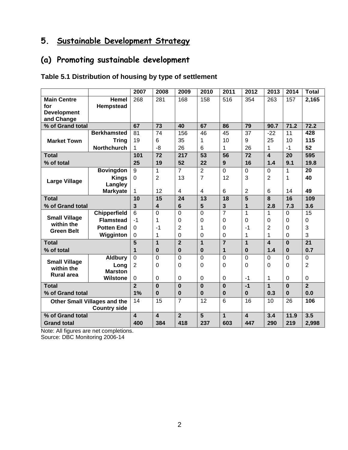## **5. Sustainable Development Strategy**

## **(a) Promoting sustainable development**

### **Table 5.1 Distribution of housing by type of settlement**

|                                                            |                                    | 2007                    | 2008                    | 2009           | 2010           | 2011           | 2012                    | 2013                    | 2014        | <b>Total</b>    |
|------------------------------------------------------------|------------------------------------|-------------------------|-------------------------|----------------|----------------|----------------|-------------------------|-------------------------|-------------|-----------------|
| <b>Main Centre</b>                                         | Hemel                              | 268                     | 281                     | 168            | 158            | 516            | 354                     | 263                     | 157         | 2,165           |
| for                                                        | Hempstead                          |                         |                         |                |                |                |                         |                         |             |                 |
| <b>Development</b>                                         |                                    |                         |                         |                |                |                |                         |                         |             |                 |
| and Change<br>% of Grand total                             |                                    | 67                      | $\overline{73}$         | 40             | 67             | 86             | 79                      | 90.7                    | 71.2        | 72.2            |
|                                                            | <b>Berkhamsted</b>                 | 81                      | 74                      | 156            | 46             | 45             | 37                      | $-22$                   | 11          | 428             |
|                                                            |                                    | 19                      | 6                       | 35             |                | 10             | 9                       | 25                      | 10          | 115             |
| <b>Market Town</b>                                         | <b>Tring</b><br><b>Northchurch</b> | 1                       | $-8$                    | 26             | 1<br>6         | 1              | 26                      | 1                       | $-1$        | 52              |
|                                                            |                                    |                         |                         |                |                |                |                         |                         |             |                 |
| <b>Total</b>                                               |                                    | 101                     | 72                      | 217            | 53             | 56             | 72                      | $\overline{\mathbf{4}}$ | 20          | 595             |
| % of total                                                 |                                    | 25                      | 19                      | 52             | 22             | 9              | 16                      | 1.4                     | 9.1         | 19.8            |
|                                                            | <b>Bovingdon</b>                   | 9                       | 1                       | $\overline{7}$ | 2              | $\Omega$       | $\Omega$                | $\Omega$                | 1           | 20              |
| <b>Large Village</b>                                       | <b>Kings</b>                       | 0                       | $\overline{2}$          | 13             | $\overline{7}$ | 12             | 3                       | 2                       | 1           | 40              |
|                                                            | Langley<br><b>Markyate</b>         | 1                       | 12                      | $\overline{4}$ | 4              | 6              | $\overline{2}$          | 6                       | 14          | 49              |
| <b>Total</b>                                               |                                    | 10                      | 15                      | 24             | 13             | 18             | 5                       | 8                       | 16          | 109             |
| % of Grand total                                           |                                    | 3                       | $\overline{\mathbf{4}}$ | 6              | 5              | 3              | 1                       | 2.8                     | 7.3         | 3.6             |
|                                                            | <b>Chipperfield</b>                | 6                       | $\overline{0}$          | $\overline{0}$ | $\overline{0}$ | $\overline{7}$ | 1                       | 1                       | $\Omega$    | 15              |
| <b>Small Village</b>                                       | <b>Flamstead</b>                   | $-1$                    | 1                       | $\Omega$       | 0              | 0              | 0                       | 0                       | 0           | 0               |
| within the                                                 | <b>Potten End</b>                  | $\Omega$                | -1                      | 2              | 1              | 0              | -1                      | 2                       | 0           | 3               |
| <b>Green Belt</b>                                          | Wigginton                          | 0                       | 1                       | $\overline{0}$ | 0              | $\mathbf 0$    | 1                       | 1                       | 0           | 3               |
| <b>Total</b>                                               |                                    | 5                       | $\overline{1}$          | $\overline{2}$ | 1              | $\overline{7}$ | $\mathbf{1}$            | $\overline{\mathbf{4}}$ | $\bf{0}$    | $\overline{21}$ |
| % of total                                                 |                                    | 1                       | $\bf{0}$                | $\bf{0}$       | $\bf{0}$       | 1              | $\bf{0}$                | 1.4                     | $\bf{0}$    | 0.7             |
|                                                            | <b>Aldbury</b>                     | $\overline{0}$          | $\overline{0}$          | $\overline{0}$ | $\overline{0}$ | $\mathbf 0$    | $\mathbf 0$             | 0                       | $\Omega$    | 0               |
| <b>Small Village</b>                                       | Long                               | $\overline{2}$          | $\Omega$                | $\Omega$       | $\Omega$       | $\Omega$       | $\Omega$                | $\Omega$                | $\Omega$    | $\overline{2}$  |
| within the                                                 | <b>Marston</b>                     |                         |                         |                |                |                |                         |                         |             |                 |
| <b>Rural area</b>                                          | <b>Wilstone</b>                    | 0                       | $\Omega$                | $\Omega$       | 0              | $\Omega$       | $-1$                    | 1                       | $\Omega$    | 0               |
| <b>Total</b>                                               |                                    | $\overline{2}$          | $\Omega$                | $\Omega$       | $\bf{0}$       | $\bf{0}$       | $-1$                    | $\overline{1}$          | $\Omega$    | $\overline{2}$  |
| % of Grand total                                           |                                    | 1%                      | $\mathbf{0}$            | $\mathbf 0$    | $\bf{0}$       | $\bf{0}$       | $\bf{0}$                | 0.3                     | $\mathbf 0$ | 0.0             |
|                                                            |                                    | 14                      | 15                      | $\overline{7}$ | 12             | 6              | 16                      | 10                      | 26          | 106             |
| <b>Other Small Villages and the</b><br><b>Country side</b> |                                    |                         |                         |                |                |                |                         |                         |             |                 |
| % of Grand total                                           |                                    | $\overline{\mathbf{A}}$ | $\overline{\mathbf{4}}$ | $\overline{2}$ | 5              | $\overline{1}$ | $\overline{\mathbf{A}}$ | 3.4                     | 11.9        | 3.5             |
| <b>Grand total</b>                                         |                                    | 400                     | 384                     | 418            | 237            | 603            | 447                     | 290                     | 219         | 2,998           |

Note: All figures are net completions.

Source: DBC Monitoring 2006-14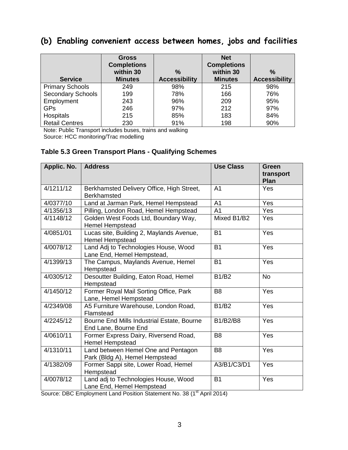## **(b) Enabling convenient access between homes, jobs and facilities**

|                          | <b>Gross</b>       |                      | <b>Net</b>         |                      |
|--------------------------|--------------------|----------------------|--------------------|----------------------|
|                          | <b>Completions</b> |                      | <b>Completions</b> |                      |
|                          | within 30          | $\%$                 | within 30          | $\%$                 |
| <b>Service</b>           | <b>Minutes</b>     | <b>Accessibility</b> | <b>Minutes</b>     | <b>Accessibility</b> |
| <b>Primary Schools</b>   | 249                | 98%                  | 215                | 98%                  |
| <b>Secondary Schools</b> | 199                | 78%                  | 166                | 76%                  |
| Employment               | 243                | 96%                  | 209                | 95%                  |
| <b>GPs</b>               | 246                | 97%                  | 212                | 97%                  |
| Hospitals                | 215                | 85%                  | 183                | 84%                  |
| <b>Retail Centres</b>    | 230                | 91%                  | 198                | 90%                  |

Note: Public Transport includes buses, trains and walking Source: HCC monitoring/Trac modelling

#### **Table 5.3 Green Transport Plans - Qualifying Schemes**

| Applic. No. | <b>Address</b>                                                        | <b>Use Class</b> | <b>Green</b><br>transport<br>Plan |
|-------------|-----------------------------------------------------------------------|------------------|-----------------------------------|
| 4/1211/12   | Berkhamsted Delivery Office, High Street,<br><b>Berkhamsted</b>       | A <sub>1</sub>   | <b>Yes</b>                        |
| 4/0377/10   | Land at Jarman Park, Hemel Hempstead                                  | A <sub>1</sub>   | Yes                               |
| 4/1356/13   | Pilling, London Road, Hemel Hempstead                                 | A <sub>1</sub>   | Yes                               |
| 4/1148/12   | Golden West Foods Ltd, Boundary Way,<br><b>Hemel Hempstead</b>        | Mixed B1/B2      | Yes                               |
| 4/0851/01   | Lucas site, Building 2, Maylands Avenue,<br><b>Hemel Hempstead</b>    | <b>B1</b>        | Yes                               |
| 4/0078/12   | Land Adj to Technologies House, Wood<br>Lane End, Hemel Hempstead,    | <b>B1</b>        | Yes                               |
| 4/1399/13   | The Campus, Maylands Avenue, Hemel<br>Hempstead                       | <b>B1</b>        | Yes                               |
| 4/0305/12   | Desoutter Building, Eaton Road, Hemel<br>Hempstead                    | <b>B1/B2</b>     | <b>No</b>                         |
| 4/1450/12   | Former Royal Mail Sorting Office, Park<br>Lane, Hemel Hempstead       | B <sub>8</sub>   | Yes                               |
| 4/2349/08   | A5 Furniture Warehouse, London Road,<br>Flamstead                     | <b>B1/B2</b>     | Yes                               |
| 4/2245/12   | Bourne End Mills Industrial Estate, Bourne<br>End Lane, Bourne End    | B1/B2/B8         | Yes                               |
| 4/0610/11   | Former Express Dairy, Riversend Road,<br>Hemel Hempstead              | B <sub>8</sub>   | Yes                               |
| 4/1310/11   | Land between Hemel One and Pentagon<br>Park (Bldg A), Hemel Hempstead | B <sub>8</sub>   | Yes                               |
| 4/1382/09   | Former Sappi site, Lower Road, Hemel<br>Hempstead                     | A3/B1/C3/D1      | Yes                               |
| 4/0078/12   | Land adj to Technologies House, Wood<br>Lane End, Hemel Hempstead     | <b>B1</b>        | Yes                               |

Source: DBC Employment Land Position Statement No. 38 (1<sup>st</sup> April 2014)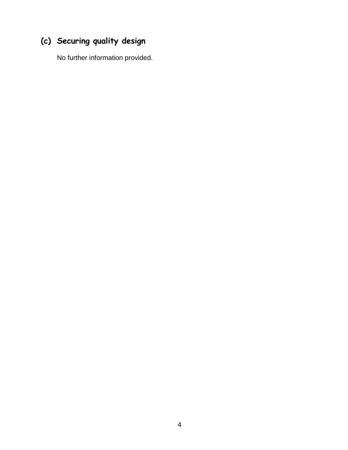## **(c) Securing quality design**

No further information provided.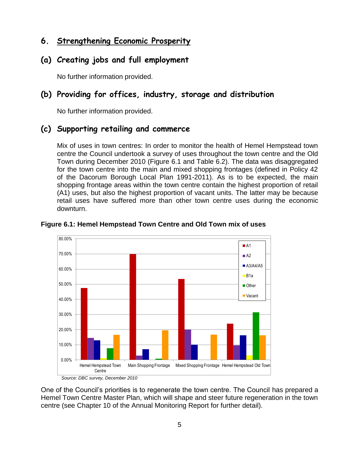## **6. Strengthening Economic Prosperity**

## **(a) Creating jobs and full employment**

No further information provided.

## **(b) Providing for offices, industry, storage and distribution**

No further information provided.

## **(c) Supporting retailing and commerce**

Mix of uses in town centres: In order to monitor the health of Hemel Hempstead town centre the Council undertook a survey of uses throughout the town centre and the Old Town during December 2010 (Figure 6.1 and Table 6.2). The data was disaggregated for the town centre into the main and mixed shopping frontages (defined in Policy 42 of the Dacorum Borough Local Plan 1991-2011). As is to be expected, the main shopping frontage areas within the town centre contain the highest proportion of retail (A1) uses, but also the highest proportion of vacant units. The latter may be because retail uses have suffered more than other town centre uses during the economic downturn.



**Figure 6.1: Hemel Hempstead Town Centre and Old Town mix of uses**

One of the Council's priorities is to regenerate the town centre. The Council has prepared a Hemel Town Centre Master Plan, which will shape and steer future regeneration in the town centre (see Chapter 10 of the Annual Monitoring Report for further detail).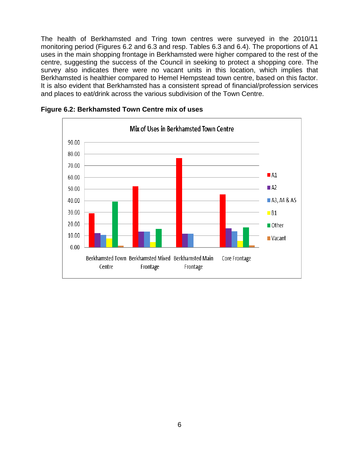The health of Berkhamsted and Tring town centres were surveyed in the 2010/11 monitoring period (Figures 6.2 and 6.3 and resp. Tables 6.3 and 6.4). The proportions of A1 uses in the main shopping frontage in Berkhamsted were higher compared to the rest of the centre, suggesting the success of the Council in seeking to protect a shopping core. The survey also indicates there were no vacant units in this location, which implies that Berkhamsted is healthier compared to Hemel Hempstead town centre, based on this factor. It is also evident that Berkhamsted has a consistent spread of financial/profession services and places to eat/drink across the various subdivision of the Town Centre.



**Figure 6.2: Berkhamsted Town Centre mix of uses**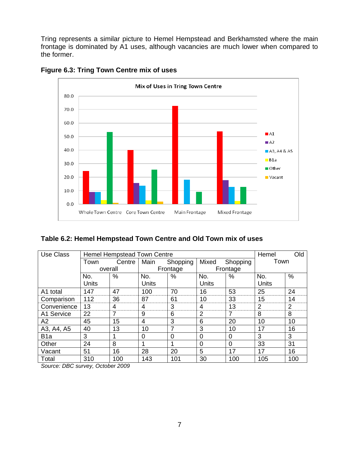Tring represents a similar picture to Hemel Hempstead and Berkhamsted where the main frontage is dominated by A1 uses, although vacancies are much lower when compared to the former.





#### **Table 6.2: Hemel Hempstead Town Centre and Old Town mix of uses**

| <b>Use Class</b> |         | <b>Hemel Hempstead Town Centre</b> |              |                |          |          | Hemel          | Old            |
|------------------|---------|------------------------------------|--------------|----------------|----------|----------|----------------|----------------|
|                  | Town    | Centre                             | Main         | Shopping       | Mixed    | Shopping | Town           |                |
|                  | overall |                                    |              | Frontage       |          | Frontage |                |                |
|                  | No.     | %                                  | No.          | %              | No.      | %        | No.            | $\%$           |
|                  | Units   |                                    | <b>Units</b> |                | Units    |          | <b>Units</b>   |                |
| A1 total         | 147     | 47                                 | 100          | 70             | 16       | 53       | 25             | 24             |
| Comparison       | 112     | 36                                 | 87           | 61             | 10       | 33       | 15             | 14             |
| Convenience      | 13      | 4                                  | 4            | 3              | 4        | 13       | $\overline{2}$ | $\overline{2}$ |
| A1 Service       | 22      | 7                                  | 9            | 6              | 2        | 7        | 8              | 8              |
| A2               | 45      | 15                                 | 4            | 3              | 6        | 20       | 10             | 10             |
| A3, A4, A5       | 40      | 13                                 | 10           | 7              | 3        | 10       | 17             | 16             |
| B <sub>1</sub> a | 3       |                                    | 0            | $\overline{0}$ | $\Omega$ | 0        | 3              | 3              |
| Other            | 24      | 8                                  |              |                | $\Omega$ | $\Omega$ | 33             | 31             |
| Vacant           | 51      | 16                                 | 28           | 20             | 5        | 17       | 17             | 16             |
| Total            | 310     | 100                                | 143          | 101            | 30       | 100      | 105            | 100            |

*Source: DBC survey, October 2009*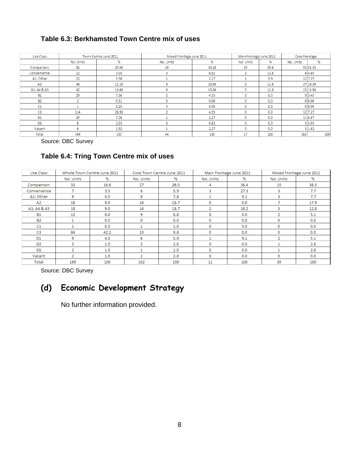#### **Table 6.3: Berkhamsted Town Centre mix of uses**

| Use Class      |           | Town Centre June 2011 |           | Mixed Frontage June 2011 |                          | MainFrontage June 2011 | Core Frontage |          |
|----------------|-----------|-----------------------|-----------|--------------------------|--------------------------|------------------------|---------------|----------|
|                | No. Units | %                     | No. Units | %                        | No. Units                | %                      | No. Units     | %        |
| Comparison     | 81        | 20.56                 | 19        | 43.18                    | 10                       | 58.8                   |               | 55 33.33 |
| Convenience    | 12        | 3.05                  | 3         | 6.82                     | $\overline{2}$           | 11.8                   |               | 84.85    |
| A1: Other      | 22        | 5.58                  |           | 2.27                     |                          | 5.9                    |               | 12 7.27  |
| A2             | 48        | 12.18                 | 6         | 13.64                    | $\overline{\phantom{a}}$ | 11.8                   |               | 27 16.36 |
| A3, A4 & A5    | 42        | 10.66                 | 6         | 13.64                    | e.                       | 11.8                   |               | 23 13.94 |
| <b>B1</b>      | 29        | 7.36                  |           | 4.55                     | 0                        | 0.0                    |               | 9 5.45   |
| <b>B2</b>      |           | 0.51                  | 0         | 0.00                     | 0                        | 0.0                    |               | 0 0.00   |
| C1             |           | 0.25                  | o         | 0.00                     | 0                        | 0.0                    |               | 0 0.00   |
| C <sub>3</sub> | 114       | 28.93                 |           | 4.55                     | 0                        | 0.0                    |               | 12 7.27  |
| D <sub>1</sub> | 29        | 7.36                  |           | 2.27                     | 0                        | 0.0                    |               | 11 6.67  |
| SG             | 8         | 2.03                  |           | 6.82                     | 0                        | 0.0                    |               | 5 3.03   |
| Vacant         | 6         | 1.52                  |           | 2.27                     | 0                        | 0.0                    |               | 3 1.82   |
| Total          | 394       | 100                   | 44        | 100                      | 17                       | 100                    | 165           | 100      |

Source: DBC Survey

#### **Table 6.4: Tring Town Centre mix of uses**

| Use Class      |                | Whole Town Centre June 2011 | Core Town Centre June 2011 |      | Main Frontage June 2011 |      | Mixed Frontage June 2011 |      |
|----------------|----------------|-----------------------------|----------------------------|------|-------------------------|------|--------------------------|------|
|                | No. Units      | %                           | No. Units                  | %    | No. Units               | %    | No. Units                | %    |
| Comparison     | 33             | 16.6                        | 27                         | 26.5 | 4                       | 36.4 | 15                       | 38.5 |
| Convenience    | 7              | 3.5                         | 6                          | 5.9  | з                       | 27.3 | 3                        | 7.7  |
| A1: Other      | 9              | 4.5                         | 8                          | 7.8  |                         | 9.1  | 3                        | 7.7  |
| A2             | 18             | 9.0                         | 16                         | 15.7 | 0                       | 0.0  | 7                        | 17.9 |
| A3, A4 & A5    | 18             | 9.0                         | 14                         | 13.7 | 2                       | 18.2 | 5                        | 12.8 |
| B1             | 12             | 6.0                         | 9                          | 8.8  | 0                       | 0.0  | 2                        | 5.1  |
| <b>B2</b>      |                | 0.5                         | 0                          | 0.0  | 0                       | 0.0  | 0                        | 0.0  |
| C1             | 1.             | 0.5                         |                            | 1.0  | 0                       | 0.0  | 0                        | 0.0  |
| C <sub>3</sub> | 84             | 42.2                        | 10                         | 9.8  | 0                       | 0.0  | 0                        | 0.0  |
| D1             | 9              | 4.5                         | 6                          | 5.9  |                         | 9.1  | $\overline{2}$           | 5.1  |
| D <sub>2</sub> | 3.             | 1.5                         | 2                          | 2.0  | o                       | 0.0  |                          | 2.6  |
| SG             | $\overline{2}$ | 1.0                         |                            | 1.0  | 0                       | 0.0  |                          | 2.6  |
| Vacant         | 2.             | 1.0                         | 2                          | 2.0  | 0                       | 0.0  | 0                        | 0.0  |
| Total          | 199            | 100                         | 102                        | 100  | 11                      | 100  | 39                       | 100  |

Source: DBC Survey

## **(d) Economic Development Strategy**

No further information provided.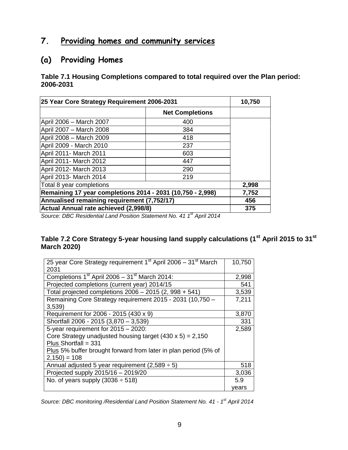## **7. Providing homes and community services**

### **(a) Providing Homes**

**Table 7.1 Housing Completions compared to total required over the Plan period: 2006-2031**

| 25 Year Core Strategy Requirement 2006-2031                | 10,750                 |       |
|------------------------------------------------------------|------------------------|-------|
|                                                            | <b>Net Completions</b> |       |
| April 2006 - March 2007                                    | 400                    |       |
| April 2007 - March 2008                                    | 384                    |       |
| April 2008 - March 2009                                    | 418                    |       |
| April 2009 - March 2010                                    | 237                    |       |
| April 2011- March 2011                                     | 603                    |       |
| April 2011- March 2012                                     | 447                    |       |
| April 2012- March 2013                                     | 290                    |       |
| April 2013- March 2014                                     | 219                    |       |
| Total 8 year completions                                   |                        | 2,998 |
| Remaining 17 year completions 2014 - 2031 (10,750 - 2,998) | 7,752                  |       |
| Annualised remaining requirement (7,752/17)                | 456                    |       |
| Actual Annual rate achieved (2,998/8)                      | 375                    |       |

*Source: DBC Residential Land Position Statement No. 41 1 st April 2014*

#### **Table 7.2 Core Strategy 5-year housing land supply calculations (1st April 2015 to 31st March 2020)**

| 25 year Core Strategy requirement 1 <sup>st</sup> April 2006 - 31 <sup>st</sup> March | 10,750 |
|---------------------------------------------------------------------------------------|--------|
| 2031                                                                                  |        |
| Completions 1 <sup>st</sup> April 2006 - 31 <sup>st</sup> March 2014:                 | 2,998  |
| Projected completions (current year) 2014/15                                          | 541    |
| Total projected completions 2006 - 2015 (2, 998 + 541)                                | 3,539  |
| Remaining Core Strategy requirement 2015 - 2031 (10,750 -                             | 7,211  |
| 3,539                                                                                 |        |
| Requirement for 2006 - 2015 (430 x 9)                                                 | 3,870  |
| Shortfall 2006 - 2015 (3,870 - 3,539)                                                 | 331    |
| 5-year requirement for 2015 - 2020:                                                   | 2,589  |
| Core Strategy unadjusted housing target $(430 \times 5) = 2,150$                      |        |
| Plus Shortfall = $331$                                                                |        |
| Plus 5% buffer brought forward from later in plan period (5% of                       |        |
| $2,150$ = 108                                                                         |        |
| Annual adjusted 5 year requirement (2,589 $\div$ 5)                                   | 518    |
| Projected supply 2015/16 - 2019/20                                                    | 3,036  |
| No. of years supply $(3036 \div 518)$                                                 | 5.9    |
|                                                                                       | years  |

*Source: DBC monitoring /Residential Land Position Statement No. 41 - 1 st April 2014*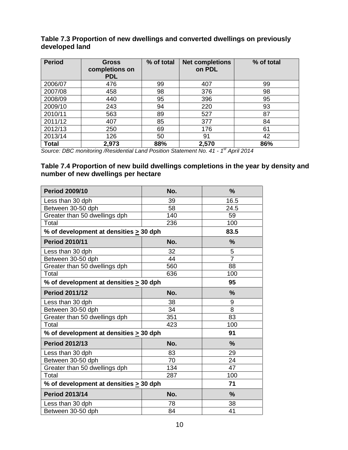| Table 7.3 Proportion of new dwellings and converted dwellings on previously |  |
|-----------------------------------------------------------------------------|--|
| developed land                                                              |  |

| <b>Period</b> | <b>Gross</b><br>completions on<br><b>PDL</b> | % of total | <b>Net completions</b><br>on PDL | % of total |
|---------------|----------------------------------------------|------------|----------------------------------|------------|
| 2006/07       | 476                                          | 99         | 407                              | 99         |
| 2007/08       | 458                                          | 98         | 376                              | 98         |
| 2008/09       | 440                                          | 95         | 396                              | 95         |
| 2009/10       | 243                                          | 94         | 220                              | 93         |
| 2010/11       | 563                                          | 89         | 527                              | 87         |
| 2011/12       | 407                                          | 85         | 377                              | 84         |
| 2012/13       | 250                                          | 69         | 176                              | 61         |
| 2013/14       | 126                                          | 50         | 91                               | 42         |
| <b>Total</b>  | 2,973                                        | 88%        | 2,570                            | 86%        |

*Source: DBC monitoring /Residential Land Position Statement No. 41 - 1 st April 2014*

#### **Table 7.4 Proportion of new build dwellings completions in the year by density and number of new dwellings per hectare**

| <b>Period 2009/10</b>                       | No. | $\frac{9}{6}$  |
|---------------------------------------------|-----|----------------|
| Less than 30 dph                            | 39  | 16.5           |
| Between 30-50 dph                           | 58  | 24.5           |
| Greater than 50 dwellings dph               | 140 | 59             |
| Total                                       | 236 | 100            |
| % of development at densities > 30 dph      |     | 83.5           |
| <b>Period 2010/11</b>                       | No. | $\frac{9}{6}$  |
| Less than 30 dph                            | 32  | 5              |
| Between 30-50 dph                           | 44  | $\overline{7}$ |
| Greater than 50 dwellings dph               | 560 | 88             |
| Total                                       | 636 | 100            |
| % of development at densities > 30 dph      | 95  |                |
| <b>Period 2011/12</b>                       | No. | $\frac{9}{6}$  |
| Less than 30 dph                            | 38  | 9              |
| Between 30-50 dph                           | 34  | 8              |
| Greater than 50 dwellings dph               | 351 | 83             |
| Total                                       | 423 | 100            |
| % of development at densities > 30 dph      |     | 91             |
| <b>Period 2012/13</b>                       | No. | %              |
| Less than 30 dph                            | 83  | 29             |
| Between 30-50 dph                           | 70  | 24             |
| Greater than 50 dwellings dph               | 134 | 47             |
| Total                                       | 287 | 100            |
| % of development at densities $\geq$ 30 dph | 71  |                |
| <b>Period 2013/14</b>                       | No. | $\frac{9}{6}$  |
| Less than 30 dph                            | 78  | 38             |
| Between 30-50 dph                           | 84  | 41             |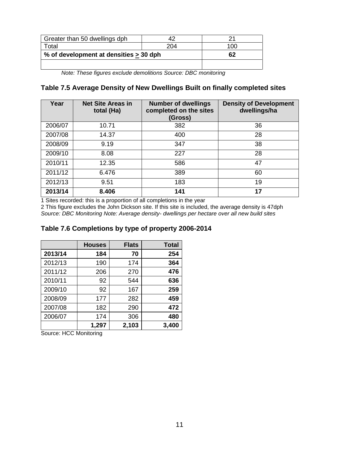| Greater than 50 dwellings dph          |     |     |
|----------------------------------------|-----|-----|
| <b>otal</b>                            | 204 | 100 |
| % of development at densities > 30 dph |     | 62  |
|                                        |     |     |

*Note: These figures exclude demolitions Source: DBC monitoring* 

#### **Table 7.5 Average Density of New Dwellings Built on finally completed sites**

| Year    | <b>Net Site Areas in</b><br>total (Ha) | <b>Number of dwellings</b><br>completed on the sites<br>(Gross) | <b>Density of Development</b><br>dwellings/ha |
|---------|----------------------------------------|-----------------------------------------------------------------|-----------------------------------------------|
| 2006/07 | 10.71                                  | 382                                                             | 36                                            |
| 2007/08 | 14.37                                  | 400                                                             | 28                                            |
| 2008/09 | 9.19                                   | 347                                                             | 38                                            |
| 2009/10 | 8.08                                   | 227                                                             | 28                                            |
| 2010/11 | 12.35                                  | 586                                                             | 47                                            |
| 2011/12 | 6.476                                  | 389                                                             | 60                                            |
| 2012/13 | 9.51                                   | 183                                                             | 19                                            |
| 2013/14 | 8.406                                  | 141                                                             | 17                                            |

1 Sites recorded: this is a proportion of all completions in the year

2 This figure excludes the John Dickson site. If this site is included, the average density is 47dph *Source: DBC Monitoring Note: Average density- dwellings per hectare over all new build sites*

#### **Table 7.6 Completions by type of property 2006-2014**

|         | <b>Houses</b> | <b>Flats</b> | <b>Total</b> |
|---------|---------------|--------------|--------------|
| 2013/14 | 184           | 70           | 254          |
| 2012/13 | 190           | 174          | 364          |
| 2011/12 | 206           | 270          | 476          |
| 2010/11 | 92            | 544          | 636          |
| 2009/10 | 92            | 167          | 259          |
| 2008/09 | 177           | 282          | 459          |
| 2007/08 | 182           | 290          | 472          |
| 2006/07 | 174           | 306          | 480          |
|         | 1,297         | 2,103        | 3,400        |

Source: HCC Monitoring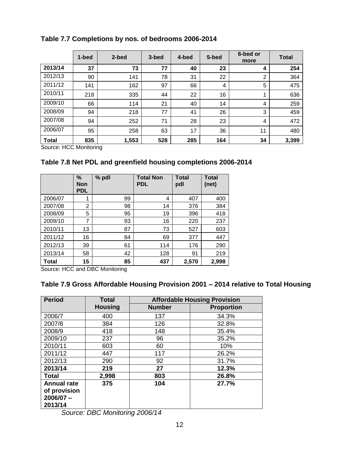|                                                       | 1-bed | 2-bed | 3-bed | 4-bed | 5-bed | 6-bed or<br>more | <b>Total</b> |
|-------------------------------------------------------|-------|-------|-------|-------|-------|------------------|--------------|
| 2013/14                                               | 37    | 73    | 77    | 40    | 23    | 4                | 254          |
| 2012/13                                               | 90    | 141   | 78    | 31    | 22    | $\overline{2}$   | 364          |
| 2011/12                                               | 141   | 162   | 97    | 66    | 4     | 5                | 475          |
| 2010/11                                               | 218   | 335   | 44    | 22    | 16    | 1                | 636          |
| 2009/10                                               | 66    | 114   | 21    | 40    | 14    | $\overline{4}$   | 259          |
| 2008/09                                               | 94    | 218   | 77    | 41    | 26    | 3                | 459          |
| 2007/08                                               | 94    | 252   | 71    | 28    | 23    | 4                | 472          |
| 2006/07                                               | 95    | 258   | 63    | 17    | 36    | 11               | 480          |
| <b>Total</b><br>$ \sim 1$<br>$\overline{\phantom{0}}$ | 835   | 1,553 | 528   | 285   | 164   | 34               | 3,399        |

#### **Table 7.7 Completions by nos. of bedrooms 2006-2014**

Source: HCC Monitoring

#### **Table 7.8 Net PDL and greenfield housing completions 2006-2014**

|         | $\%$<br>Non<br><b>PDL</b> | % pdl | <b>Total Non</b><br><b>PDL</b> | <b>Total</b><br>pdl | <b>Total</b><br>(net) |
|---------|---------------------------|-------|--------------------------------|---------------------|-----------------------|
| 2006/07 | 1                         | 99    | 4                              | 407                 | 400                   |
| 2007/08 | $\overline{2}$            | 98    | 14                             | 376                 | 384                   |
| 2008/09 | 5                         | 95    | 19                             | 396                 | 418                   |
| 2009/10 | 7                         | 93    | 16                             | 220                 | 237                   |
| 2010/11 | 13                        | 87    | 73                             | 527                 | 603                   |
| 2011/12 | 16                        | 84    | 69                             | 377                 | 447                   |
| 2012/13 | 39                        | 61    | 114                            | 176                 | 290                   |
| 2013/14 | 58                        | 42    | 128                            | 91                  | 219                   |
| Total   | 15                        | 85    | 437                            | 2,570               | 2,998                 |

Source: HCC and DBC Monitoring

#### **Table 7.9 Gross Affordable Housing Provision 2001 – 2014 relative to Total Housing**

| <b>Period</b>      | <b>Total</b>   | <b>Affordable Housing Provision</b> |                   |  |
|--------------------|----------------|-------------------------------------|-------------------|--|
|                    | <b>Housing</b> | <b>Number</b>                       | <b>Proportion</b> |  |
| 2006/7             | 400            | 137                                 | 34.3%             |  |
| 2007/8             | 384            | 126                                 | 32.8%             |  |
| 2008/9             | 418            | 148                                 | 35.4%             |  |
| 2009/10            | 237            | 96                                  | 35.2%             |  |
| 2010/11            | 603            | 60                                  | 10%               |  |
| 2011/12            | 447            | 117                                 | 26.2%             |  |
| 2012/13            | 290            | 92                                  | 31.7%             |  |
| 2013/14            | 219            | 27                                  | 12.3%             |  |
| <b>Total</b>       | 2,998          | 803                                 | 26.8%             |  |
| <b>Annual rate</b> | 375            | 104                                 | 27.7%             |  |
| of provision       |                |                                     |                   |  |
| $2006/07 -$        |                |                                     |                   |  |
| 2013/14            |                |                                     |                   |  |

*Source: DBC Monitoring 2006/14*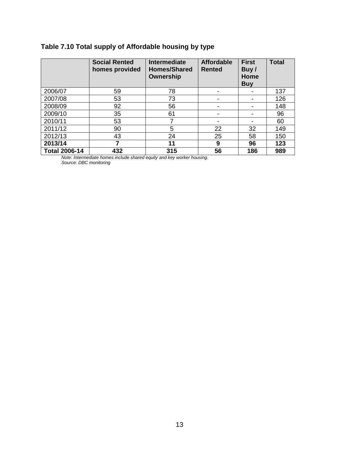## **Table 7.10 Total supply of Affordable housing by type**

|                      | <b>Social Rented</b><br>homes provided | <b>Intermediate</b><br><b>Homes/Shared</b><br>Ownership | <b>Affordable</b><br><b>Rented</b> | <b>First</b><br>Buy/<br>Home<br><b>Buy</b> | <b>Total</b> |
|----------------------|----------------------------------------|---------------------------------------------------------|------------------------------------|--------------------------------------------|--------------|
| 2006/07              | 59                                     | 78                                                      |                                    |                                            | 137          |
| 2007/08              | 53                                     | 73                                                      |                                    |                                            | 126          |
| 2008/09              | 92                                     | 56                                                      | -                                  | ۰                                          | 148          |
| 2009/10              | 35                                     | 61                                                      |                                    |                                            | 96           |
| 2010/11              | 53                                     | 7                                                       |                                    |                                            | 60           |
| 2011/12              | 90                                     | 5                                                       | 22                                 | 32                                         | 149          |
| 2012/13              | 43                                     | 24                                                      | 25                                 | 58                                         | 150          |
| 2013/14              | 7                                      | 11                                                      | 9                                  | 96                                         | 123          |
| <b>Total 2006-14</b> | 432                                    | 315                                                     | 56                                 | 186                                        | 989          |

*Note: Intermediate homes include shared equity and key worker housing.* 

*Source: DBC monitoring*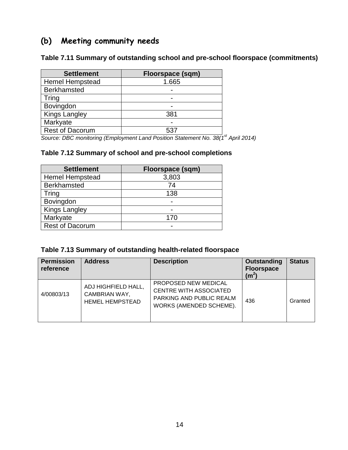## **(b) Meeting community needs**

**Table 7.11 Summary of outstanding school and pre-school floorspace (commitments)**

| <b>Settlement</b>      | Floorspace (sqm) |
|------------------------|------------------|
| <b>Hemel Hempstead</b> | 1.665            |
| <b>Berkhamsted</b>     |                  |
| <b>Tring</b>           |                  |
| Bovingdon              |                  |
| <b>Kings Langley</b>   | 381              |
| Markyate               |                  |
| <b>Rest of Dacorum</b> | 537              |

*Source: DBC monitoring (Employment Land Position Statement No. 38(1st April 2014)*

#### **Table 7.12 Summary of school and pre-school completions**

| <b>Settlement</b>      | <b>Floorspace (sqm)</b> |
|------------------------|-------------------------|
| <b>Hemel Hempstead</b> | 3,803                   |
| <b>Berkhamsted</b>     | 74                      |
| Tring                  | 138                     |
| Bovingdon              |                         |
| <b>Kings Langley</b>   |                         |
| Markyate               | 170                     |
| <b>Rest of Dacorum</b> |                         |

| Table 7.13 Summary of outstanding health-related floorspace |  |  |  |
|-------------------------------------------------------------|--|--|--|
|-------------------------------------------------------------|--|--|--|

| <b>Permission</b><br>reference | <b>Address</b>                                                 | <b>Description</b>                                                                                           | Outstanding<br><b>Floorspace</b><br>$(m^2)$ | <b>Status</b> |
|--------------------------------|----------------------------------------------------------------|--------------------------------------------------------------------------------------------------------------|---------------------------------------------|---------------|
| 4/00803/13                     | ADJ HIGHFIELD HALL,<br>CAMBRIAN WAY,<br><b>HEMEL HEMPSTEAD</b> | PROPOSED NEW MEDICAL<br><b>CENTRE WITH ASSOCIATED</b><br>PARKING AND PUBLIC REALM<br>WORKS (AMENDED SCHEME). | 436                                         | Granted       |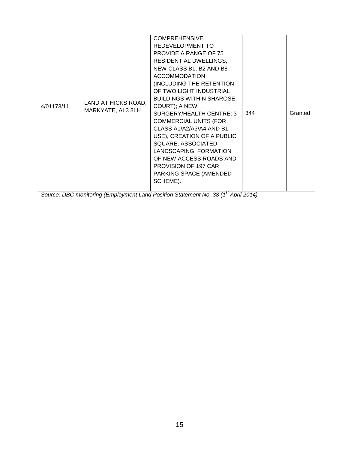| 4/01173/11 | LAND AT HICKS ROAD,<br>MARKYATE, AL3 8LH | <b>COMPREHENSIVE</b><br>REDEVELOPMENT TO<br>PROVIDE A RANGE OF 75<br><b>RESIDENTIAL DWELLINGS;</b><br>NEW CLASS B1, B2 AND B8<br><b>ACCOMMODATION</b><br>(INCLUDING THE RETENTION<br>OF TWO LIGHT INDUSTRIAL<br><b>BUILDINGS WITHIN SHAROSE</b><br>COURT); A NEW<br>SURGERY/HEALTH CENTRE; 3<br><b>COMMERCIAL UNITS (FOR</b><br>CLASS A1/A2/A3/A4 AND B1<br>USE), CREATION OF A PUBLIC<br>SQUARE, ASSOCIATED<br>LANDSCAPING; FORMATION<br>OF NEW ACCESS ROADS AND<br>PROVISION OF 197 CAR | 344 | Granted |
|------------|------------------------------------------|-------------------------------------------------------------------------------------------------------------------------------------------------------------------------------------------------------------------------------------------------------------------------------------------------------------------------------------------------------------------------------------------------------------------------------------------------------------------------------------------|-----|---------|
|------------|------------------------------------------|-------------------------------------------------------------------------------------------------------------------------------------------------------------------------------------------------------------------------------------------------------------------------------------------------------------------------------------------------------------------------------------------------------------------------------------------------------------------------------------------|-----|---------|

*Source: DBC monitoring (Employment Land Position Statement No. 38 (1st April 2014)*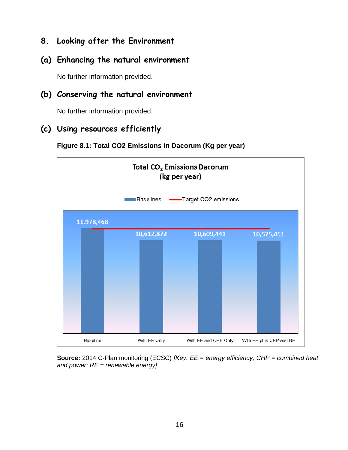## **8. Looking after the Environment**

### **(a) Enhancing the natural environment**

No further information provided.

### **(b) Conserving the natural environment**

No further information provided.

## **(c) Using resources efficiently**



**Figure 8.1: Total CO2 Emissions in Dacorum (Kg per year)**

**Source:** 2014 C-Plan monitoring (ECSC) *[Key: EE = energy efficiency; CHP = combined heat and power; RE = renewable energy]*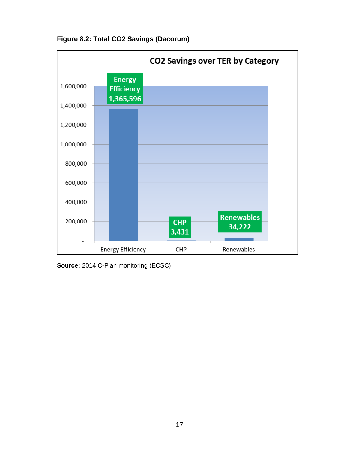

**Figure 8.2: Total CO2 Savings (Dacorum)**

**Source:** 2014 C-Plan monitoring (ECSC)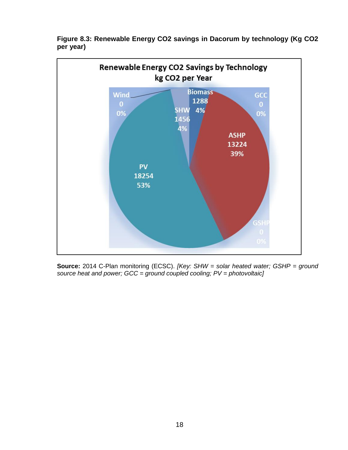

**Figure 8.3: Renewable Energy CO2 savings in Dacorum by technology (Kg CO2 per year)**

**Source:** 2014 C-Plan monitoring (ECSC). *[Key: SHW = solar heated water; GSHP = ground source heat and power; GCC = ground coupled cooling; PV = photovoltaic]*